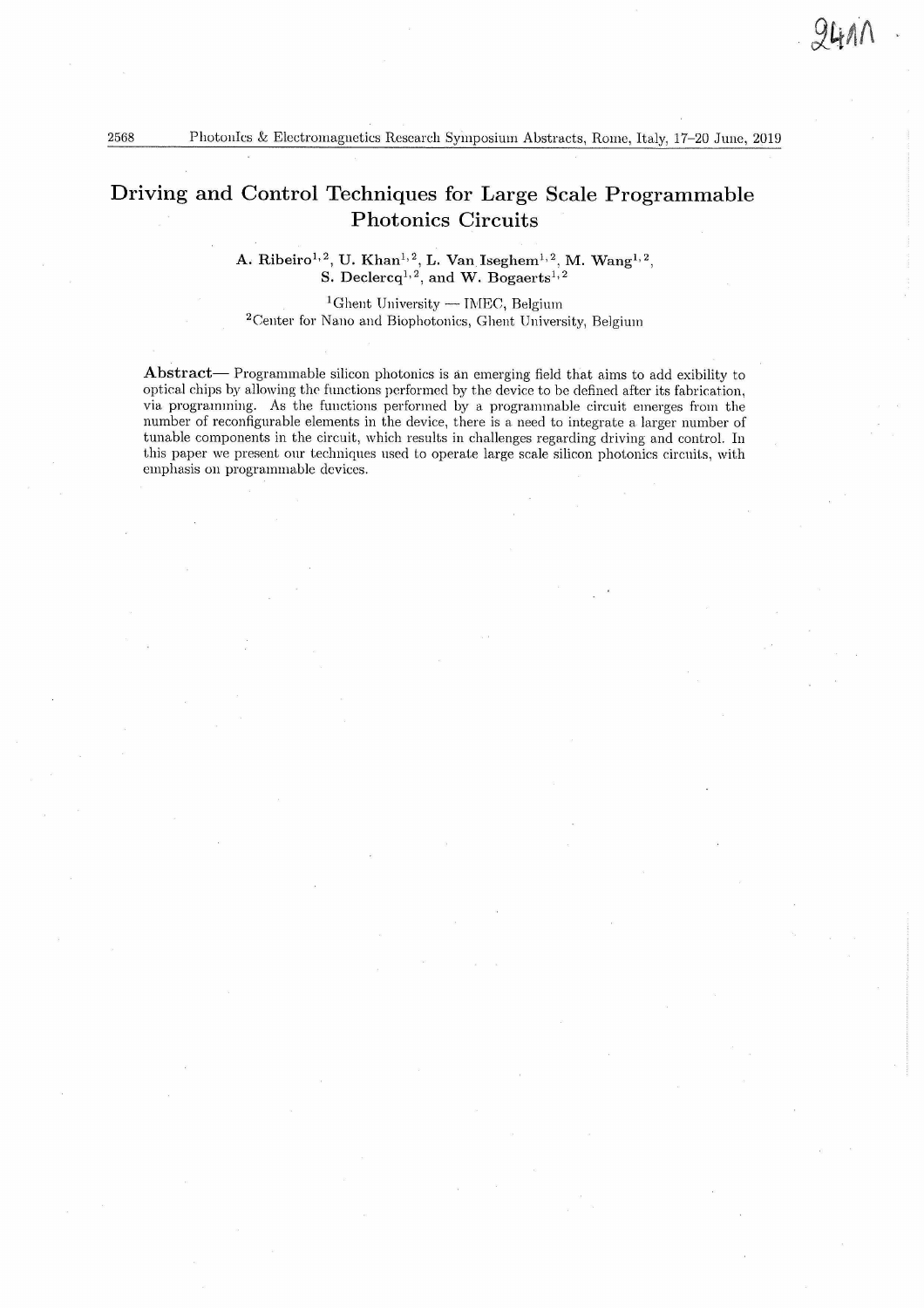# Driving and Control Techniques for Large Scale Programmable Photonics Circuits

**A. Ribeiro1,2, U. Khan1,2, L. Van Iseghem1,2, M. Wang1,2, S. Declercq1,2, and W. Bogaerts**1,2

<sup>1</sup>Ghent University — IMEC, Belgium 2Center for Nano and Biophotonics, Ghent University, Belgium

Abstract— Programmable silicon photonics is an emerging field that aims to add exibility to optical chips by allowing the functions performed by the device to be defined after its fabrication, via programming. As the functions performed by a programmable circuit emerges from the number of reconfigurable elements in the device, there is a need to integrate a larger number of tunable components in the circuit, which results in challenges regarding driving and control. In this paper we present our techniques used to operate large scale silicon photonics circuits, with emphasis on programmable devices.